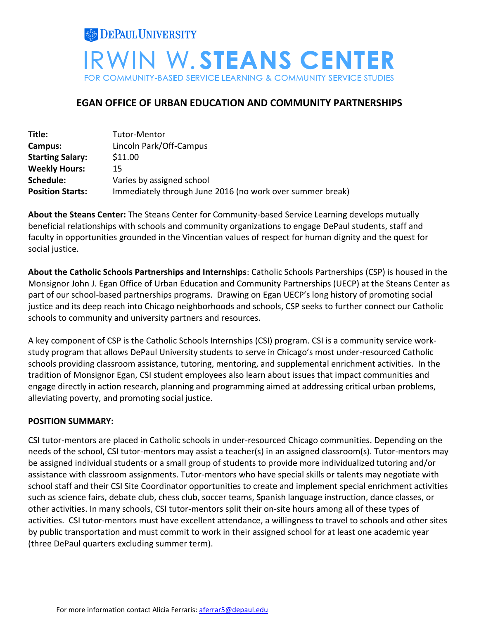

# **EGAN OFFICE OF URBAN EDUCATION AND COMMUNITY PARTNERSHIPS**

| Title:                  | Tutor-Mentor                                              |
|-------------------------|-----------------------------------------------------------|
| Campus:                 | Lincoln Park/Off-Campus                                   |
| <b>Starting Salary:</b> | \$11.00                                                   |
| <b>Weekly Hours:</b>    | 15                                                        |
| Schedule:               | Varies by assigned school                                 |
| <b>Position Starts:</b> | Immediately through June 2016 (no work over summer break) |

**About the Steans Center:** The Steans Center for Community-based Service Learning develops mutually beneficial relationships with schools and community organizations to engage DePaul students, staff and faculty in opportunities grounded in the Vincentian values of respect for human dignity and the quest for social justice.

**About the Catholic Schools Partnerships and Internships**: Catholic Schools Partnerships (CSP) is housed in the Monsignor John J. Egan Office of Urban Education and Community Partnerships (UECP) at the Steans Center as part of our school-based partnerships programs. Drawing on Egan UECP's long history of promoting social justice and its deep reach into Chicago neighborhoods and schools, CSP seeks to further connect our Catholic schools to community and university partners and resources.

A key component of CSP is the Catholic Schools Internships (CSI) program. CSI is a community service workstudy program that allows DePaul University students to serve in Chicago's most under-resourced Catholic schools providing classroom assistance, tutoring, mentoring, and supplemental enrichment activities. In the tradition of Monsignor Egan, CSI student employees also learn about issues that impact communities and engage directly in action research, planning and programming aimed at addressing critical urban problems, alleviating poverty, and promoting social justice.

#### **POSITION SUMMARY:**

CSI tutor-mentors are placed in Catholic schools in under-resourced Chicago communities. Depending on the needs of the school, CSI tutor-mentors may assist a teacher(s) in an assigned classroom(s). Tutor-mentors may be assigned individual students or a small group of students to provide more individualized tutoring and/or assistance with classroom assignments. Tutor-mentors who have special skills or talents may negotiate with school staff and their CSI Site Coordinator opportunities to create and implement special enrichment activities such as science fairs, debate club, chess club, soccer teams, Spanish language instruction, dance classes, or other activities. In many schools, CSI tutor-mentors split their on-site hours among all of these types of activities. CSI tutor-mentors must have excellent attendance, a willingness to travel to schools and other sites by public transportation and must commit to work in their assigned school for at least one academic year (three DePaul quarters excluding summer term).